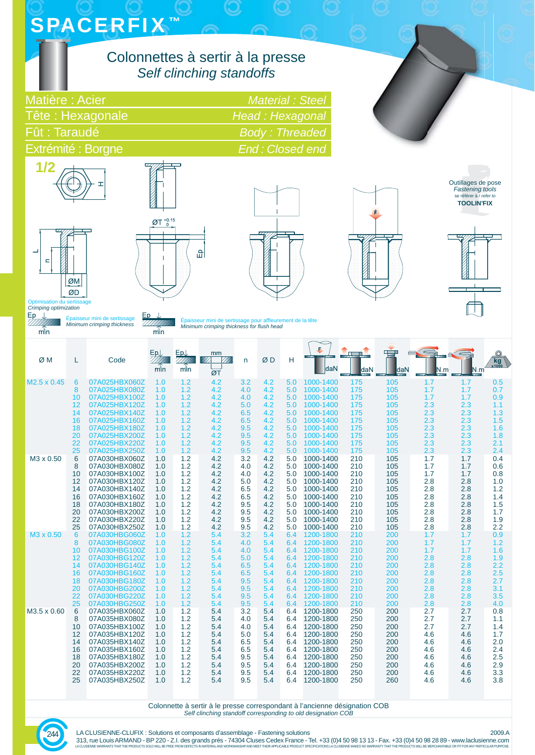| <b>SPACERFIX™</b> |  |  |
|-------------------|--|--|
|                   |  |  |
|                   |  |  |
|                   |  |  |

## Colonnettes à sertir à la presse *Self clinching standoffs*

| Matière: Acier     | Material : Steel      |
|--------------------|-----------------------|
| Tête : Hexagonale  | Head: Hexagonal       |
| Fût : Taraudé      | <b>Body: Threaded</b> |
| Extrémité : Borgne | End: Closed end       |





 $\varnothing$ T  $^{+0.15}_{-0}$ 읎





Outillages de pose *Fastening tools* se référer à / *refer to* **TOOLIN'FIX**



Optimisation du sertissage *Crimping optimization*

Épaisseur mini de sertissage *Minimum crimping thickness*

 $min$ 

 $\frac{\mathsf{Ep}}{222777}$  $min$ 

Épaisseur mini de sertissage pour affl eurement de la tête *Minimum crimping thickness for fl ush head*

| ØM                      | L        | Code                           | EpJ<br>min | EpU<br>min | mm<br>ØT   | n          | ØD         | н          | daN                    | daN        | daN        | N.m        | N.m        | $\kappa$ g $\frac{1}{x}$ 1000 |
|-------------------------|----------|--------------------------------|------------|------------|------------|------------|------------|------------|------------------------|------------|------------|------------|------------|-------------------------------|
| M <sub>2.5</sub> x 0.45 | 6        | 07A025HBX060Z                  | 1.0        | 1.2        | 4.2        | 3.2        | 4.2        | 5.0        | 1000-1400              | 175        | 105        | 1.7        | 1.7        | 0.5                           |
|                         | 8        | 07A025HBX080Z                  | 1.0        | 1.2        | 4.2        | 4.0        | 4.2        | 5.0        | 1000-1400              | 175        | 105        | 1.7        | 1.7        | 0.7                           |
|                         | 10<br>12 | 07A025HBX100Z<br>07A025HBX120Z | 1.0<br>1.0 | 1.2<br>1.2 | 4.2<br>4.2 | 4.0<br>5.0 | 4.2<br>4.2 | 5.0<br>5.0 | 1000-1400<br>1000-1400 | 175<br>175 | 105<br>105 | 1.7<br>2.3 | 1.7<br>2.3 | 0.9<br>1.1                    |
|                         | 14       | 07A025HBX140Z                  | 1.0        | 1.2        | 4.2        | 6.5        | 4.2        | 5.0        | 1000-1400              | 175        | 105        | 2.3        | 2.3        | 1.3                           |
|                         | 16       | 07A025HBX160Z                  | 1.0        | 1.2        | 4.2        | 6.5        | 4.2        | 5.0        | 1000-1400              | 175        | 105        | 2.3        | 2.3        | 1.5                           |
|                         | 18       | 07A025HBX180Z                  | 1.0        | 1.2        | 4.2        | 9.5        | 4.2        | 5.0        | 1000-1400              | 175        | 105        | 2.3        | 2.3        | 1.6                           |
|                         | 20       | 07A025HBX200Z                  | 1.0        | 1.2        | 4.2        | 9.5        | 4.2        | 5.0        | 1000-1400              | 175        | 105        | 2.3        | 2.3        | 1.8                           |
|                         | 22       | 07A025HBX220Z                  | 1.0        | 1.2        | 4.2        | 9.5        | 4.2        | 5.0        | 1000-1400              | 175        | 105        | 2.3        | 2.3        | 2.1                           |
|                         | 25       | 07A025HBX250Z                  | 1.0        | 1.2        | 4.2        | 9.5        | 4.2        | 5.0        | 1000-1400              | 175        | 105        | 2.3        | 2.3        | 2.4                           |
| M3 x 0.50               | 6        | 07A030HBX060Z                  | 1.0        | 1.2        | 4.2        | 3.2        | 4.2        | 5.0        | 1000-1400              | 210        | 105        | 1.7        | 1.7        | 0.4                           |
|                         | 8        | 07A030HBX080Z                  | 1.0        | 1.2        | 4.2        | 4.0        | 4.2        | 5.0        | 1000-1400              | 210        | 105        | 1.7        | 1.7        | 0.6                           |
|                         | 10<br>12 | 07A030HBX100Z<br>07A030HBX120Z | 1.0<br>1.0 | 1.2<br>1.2 | 4.2<br>4.2 | 4.0        | 4.2<br>4.2 | 5.0<br>5.0 | 1000-1400<br>1000-1400 | 210<br>210 | 105<br>105 | 1.7<br>2.8 | 1.7<br>2.8 | 0.8<br>1.0                    |
|                         | 14       | 07A030HBX140Z                  | 1.0        | 1.2        | 4.2        | 5.0<br>6.5 | 4.2        | 5.0        | 1000-1400              | 210        | 105        | 2.8        | 2.8        | 1.2                           |
|                         | 16       | 07A030HBX160Z                  | 1.0        | 1.2        | 4.2        | 6.5        | 4.2        | 5.0        | 1000-1400              | 210        | 105        | 2.8        | 2.8        | 1.4                           |
|                         | 18       | 07A030HBX180Z                  | 1.0        | 1.2        | 4.2        | 9.5        | 4.2        | 5.0        | 1000-1400              | 210        | 105        | 2.8        | 2.8        | 1.5                           |
|                         | 20       | 07A030HBX200Z                  | 1.0        | 1.2        | 4.2        | 9.5        | 4.2        | 5.0        | 1000-1400              | 210        | 105        | 2.8        | 2.8        | 1.7                           |
|                         | 22       | 07A030HBX220Z                  | 1.0        | 1.2        | 4.2        | 9.5        | 4.2        | 5.0        | 1000-1400              | 210        | 105        | 2.8        | 2.8        | 1.9                           |
|                         | 25       | 07A030HBX250Z                  | 1.0        | 1.2        | 4.2        | 9.5        | 4.2        | 5.0        | 1000-1400              | 210        | 105        | 2.8        | 2.8        | 2.2                           |
| M <sub>3</sub> x 0.50   | 6        | 07A030HBG060Z                  | 1.0        | 1.2        | 5.4        | 3.2        | 5.4        | 6.4        | 1200-1800              | 210        | 200        | 1.7        | 1.7        | 0.9                           |
|                         | 8        | 07A030HBG080Z                  | 1.0        | 1.2        | 5.4        | 4.0        | 5.4        | 6.4        | 1200-1800              | 210        | 200        | 1.7        | 1.7        | 1.2                           |
|                         | 10<br>12 | 07A030HBG100Z<br>07A030HBG120Z | 1.0<br>1.0 | 1.2<br>1.2 | 5.4<br>5.4 | 4.0<br>5.0 | 5.4<br>5.4 | 6.4<br>6.4 | 1200-1800<br>1200-1800 | 210<br>210 | 200<br>200 | 1.7<br>2.8 | 1.7<br>2.8 | 1.6<br>1.9                    |
|                         | 14       | 07A030HBG140Z                  | 1.0        | 1.2        | 5.4        | 6.5        | 5.4        | 6.4        | 1200-1800              | 210        | 200        | 2.8        | 2.8        | 2.2                           |
|                         | 16       | 07A030HBG160Z                  | 1.0        | 1.2        | 5.4        | 6.5        | 5.4        | 6.4        | 1200-1800              | 210        | 200        | 2.8        | 2.8        | 2.5                           |
|                         | 18       | 07A030HBG180Z                  | 1.0        | 1.2        | 5.4        | 9.5        | 5.4        | 6.4        | 1200-1800              | 210        | 200        | 2.8        | 2.8        | 2.7                           |
|                         | 20       | 07A030HBG200Z                  | 1.0        | 1.2        | 5.4        | 9.5        | 5.4        | 6.4        | 1200-1800              | 210        | 200        | 2.8        | 2.8        | 3.1                           |
|                         | 22       | 07A030HBG220Z                  | 1.0        | 1.2        | 5.4        | 9.5        | 5.4        | 6.4        | 1200-1800              | 210        | 200        | 2.8        | 2.8        | 3.5                           |
|                         | 25       | 07A030HBG250Z                  | 1.0        | 1.2        | 5.4        | 9.5        | 5.4        | 6.4        | 1200-1800              | 210        | 200        | 2.8        | 2.8        | 4.0                           |
| M3.5 x 0.60             | 6        | 07A035HBX060Z                  | 1.0        | 1.2        | 5.4        | 3.2        | 5.4        | 6.4        | 1200-1800              | 250        | 200        | 2.7        | 2.7        | 0.8                           |
|                         | 8        | 07A035HBX080Z                  | 1.0        | 1.2        | 5.4        | 4.0        | 5.4        | 6.4        | 1200-1800              | 250        | 200        | 2.7        | 2.7        | 1.1                           |
|                         | 10<br>12 | 07A035HBX100Z<br>07A035HBX120Z | 1.0<br>1.0 | 1.2<br>1.2 | 5.4<br>5.4 | 4.0        | 5.4<br>5.4 | 6.4<br>6.4 | 1200-1800<br>1200-1800 | 250<br>250 | 200<br>200 | 2.7        | 2.7<br>4.6 | 1.4<br>1.7                    |
|                         | 14       | 07A035HBX140Z                  | 1.0        | 1.2        | 5.4        | 5.0<br>6.5 | 5.4        | 6.4        | 1200-1800              | 250        | 200        | 4.6<br>4.6 | 4.6        | 2.0                           |
|                         | 16       | 07A035HBX160Z                  | 1.0        | 1.2        | 5.4        | 6.5        | 5.4        | 6.4        | 1200-1800              | 250        | 200        | 4.6        | 4.6        | 2.4                           |
|                         | 18       | 07A035HBX180Z                  | 1.0        | 1.2        | 5.4        | 9.5        | 5.4        | 6.4        | 1200-1800              | 250        | 200        | 4.6        | 4.6        | 2.5                           |
|                         | 20       | 07A035HBX200Z                  | 1.0        | 1.2        | 5.4        | 9.5        | 5.4        | 6.4        | 1200-1800              | 250        | 200        | 4.6        | 4.6        | 2.9                           |
|                         | 22       | 07A035HBX220Z                  | 1.0        | 1.2        | 5.4        | 9.5        | 5.4        | 6.4        | 1200-1800              | 250        | 200        | 4.6        | 4.6        | 3.3                           |
|                         | 25       | 07A035HBX250Z                  | 1.0        | 1.2        | 5.4        | 9.5        | 5.4        | 6.4        | 1200-1800              | 250        | 260        | 4.6        | 4.6        | 3.8                           |

Colonnette à sertir à le presse correspondant à l'ancienne désignation COB *Self clinching standoff corresponding to old designation COB*

244

LA CLUSIENNE-CLUFIX : Solutions et composants d'assemblage - Fastening solutions<br>313, rue Louis ARMAND - BP 220 - Z.I. des grands prés - 74304 Cluses Cedex France - Tel. +33 (0)4 50 98 13 13 - Fax. +33 (0)4 50 98 28 89 - w LA CLUSIENNE WARRANTS THAT THE PRODUCTS SOLD WILL BE FREE FROM DEFECTS IN MATERIAL AND WORKMANSHIP AND MEET THEIR APPLICABLE PRODUCT SPECIFICATIONS LA CLUSIENNE MAKES NO WARRANTY THAT THE PRODUCTS WILL BE MERCHANTABLE OR F